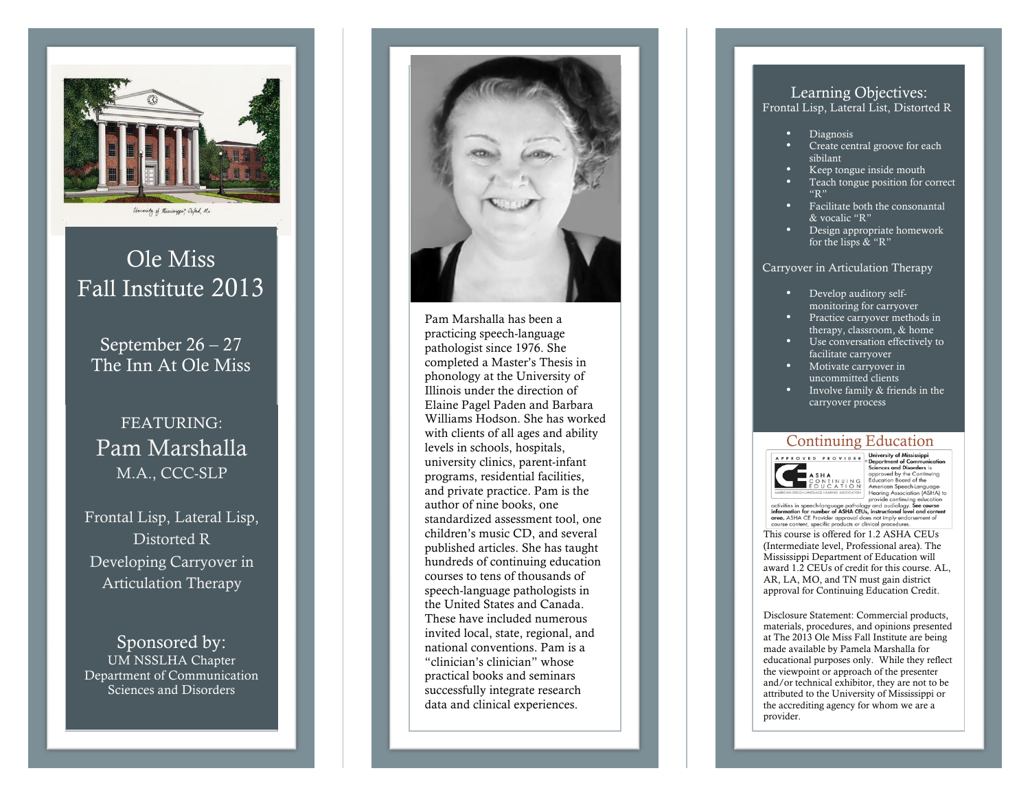

# Ole Miss Fall Institute 2013

September 26 – 27 The Inn At Ole Miss

# FEATURING: Pam Marshalla M.A., CCC -SLP

Frontal Lisp, Lateral Lisp, Distorted R Developing Carryover in Articulation Therapy

Sponsored by: UM NSSLHA Chapter Department of Communication Sciences and Disorders



practicing speech -language pathologist since 1976. She completed a Master's Thesis in phonology at the University of Illinois under the direction of Elaine Pagel Paden and Barbara Williams Hodson. She has worked with clients of all ages and ability levels in schools, hospitals, university clinics, parent -infant programs, residential facilities, and private practice. Pam is the author of nine books, one standardized assessment tool, one children's music CD, and several published articles. She has taught hundreds of continuing education courses to tens of thousands of speech -language pathologists in the United States and Canada. These have included numerous invited local, state, regional, and national conventions. Pam is a "clinician's clinician" whose practical books and seminars successfully integrate research data and clinical experiences.

## Learning Objectives:

Frontal Lisp, Lateral List, Distorted R

- Diagnosis
- Create central groove for each sibilant
- Keep tongue inside mouth
- Teach tongue position for correct "R"
- Facilitate both the consonantal & vocalic "R"
- Design appropriate homework for the lisps & "R"

#### Carryover in Articulation Therapy

- Develop auditory selfmonitoring for carryover
- Practice carryover methods in therapy, classroom, & home
- Use conversation effectively to facilitate carryover
- Motivate carryover in uncommitted clients
- Involve family & friends in the carryover process

# Continuing Education



Departm Sciences and Disorders is approved by the Continuing approved by the Continuing<br>Education Board of the<br>American Speech-Language Hearing Association (ASHA) to

This course is offered for 1.2 ASHA CEUs (Intermediate level, Professional area). The Mississippi Department of Education will award 1.2 CEUs of credit for this course. AL, AR, LA, MO, and TN must gain district approval for Continuing Education Credit.

Disclosure Statement: Commercial products, materials, procedures, and opinions presented at The 2013 Ole Miss Fall Institute are being made available by Pamela Marshalla for educational purposes only. While they reflect the viewpoint or approach of the presenter and/or technical exhibitor, they are not to be attributed to the University of Mississippi or the accrediting agency for whom we are a provider.